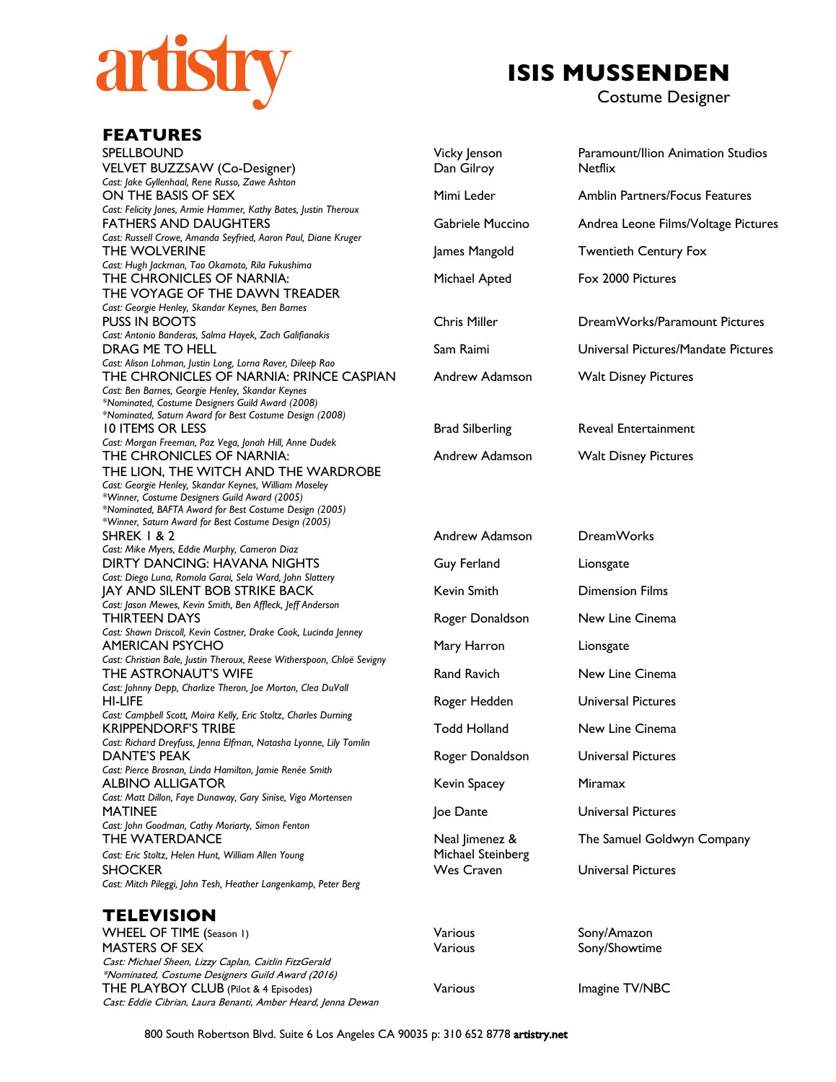

## **ISIS MUSSENDEN**

Costume Designer

| <b>FEATURES</b>                                                                                                                                                                                                                       |                                        |                                                     |
|---------------------------------------------------------------------------------------------------------------------------------------------------------------------------------------------------------------------------------------|----------------------------------------|-----------------------------------------------------|
| SPELLBOUND<br>VELVET BUZZSAW (Co-Designer)                                                                                                                                                                                            | Vicky Jenson<br>Dan Gilroy             | Paramount/Ilion Animation Studios<br><b>Netflix</b> |
| Cast: Jake Gyllenhaal, Rene Russo, Zawe Ashton<br>ON THE BASIS OF SEX                                                                                                                                                                 | Mimi Leder                             | <b>Amblin Partners/Focus Features</b>               |
| Cast: Felicity Jones, Armie Hammer, Kathy Bates, Justin Theroux<br><b>FATHERS AND DAUGHTERS</b><br>Cast: Russell Crowe, Amanda Seyfried, Aaron Paul, Diane Kruger                                                                     | Gabriele Muccino                       | Andrea Leone Films/Voltage Pictures                 |
| THE WOLVERINE<br>Cast: Hugh Jackman, Tao Okamoto, Rila Fukushima                                                                                                                                                                      | James Mangold                          | <b>Twentieth Century Fox</b>                        |
| THE CHRONICLES OF NARNIA:<br>THE VOYAGE OF THE DAWN TREADER                                                                                                                                                                           | Michael Apted                          | Fox 2000 Pictures                                   |
| Cast: Georgie Henley, Skandar Keynes, Ben Barnes<br><b>PUSS IN BOOTS</b><br>Cast: Antonio Banderas, Salma Hayek, Zach Galifianakis                                                                                                    | <b>Chris Miller</b>                    | DreamWorks/Paramount Pictures                       |
| DRAG ME TO HELL                                                                                                                                                                                                                       | Sam Raimi                              | Universal Pictures/Mandate Pictures                 |
| Cast: Alison Lohman, Justin Long, Lorna Raver, Dileep Rao<br>THE CHRONICLES OF NARNIA: PRINCE CASPIAN<br>Cast: Ben Barnes, Georgie Henley, Skandar Keynes<br>*Nominated, Costume Designers Guild Award (2008)                         | Andrew Adamson                         | <b>Walt Disney Pictures</b>                         |
| *Nominated, Saturn Award for Best Costume Design (2008)<br><b>10 ITEMS OR LESS</b>                                                                                                                                                    | <b>Brad Silberling</b>                 | <b>Reveal Entertainment</b>                         |
| Cast: Morgan Freeman, Paz Vega, Jonah Hill, Anne Dudek<br>THE CHRONICLES OF NARNIA:<br>THE LION, THE WITCH AND THE WARDROBE<br>Cast: Georgie Henley, Skandar Keynes, William Moseley<br>*Winner, Costume Designers Guild Award (2005) | Andrew Adamson                         | <b>Walt Disney Pictures</b>                         |
| *Nominated, BAFTA Award for Best Costume Design (2005)<br>*Winner, Saturn Award for Best Costume Design (2005)                                                                                                                        |                                        |                                                     |
| <b>SHREK 1 &amp; 2</b><br>Cast: Mike Myers, Eddie Murphy, Cameron Diaz                                                                                                                                                                | Andrew Adamson                         | <b>DreamWorks</b>                                   |
| DIRTY DANCING: HAVANA NIGHTS<br>Cast: Diego Luna, Romola Garai, Sela Ward, John Slattery                                                                                                                                              | Guy Ferland                            | Lionsgate                                           |
| <b>JAY AND SILENT BOB STRIKE BACK</b><br>Cast: Jason Mewes, Kevin Smith, Ben Affleck, Jeff Anderson                                                                                                                                   | Kevin Smith                            | <b>Dimension Films</b>                              |
| THIRTEEN DAYS                                                                                                                                                                                                                         | Roger Donaldson                        | New Line Cinema                                     |
| Cast: Shawn Driscoll, Kevin Costner, Drake Cook, Lucinda Jenney<br>AMERICAN PSYCHO                                                                                                                                                    | Mary Harron                            | Lionsgate                                           |
| Cast: Christian Bale, Justin Theroux, Reese Witherspoon, Chloë Sevigny<br>THE ASTRONAUT'S WIFE                                                                                                                                        | <b>Rand Ravich</b>                     | New Line Cinema                                     |
| Cast: Johnny Depp, Charlize Theron, Joe Morton, Clea DuVall<br>HI-LIFE                                                                                                                                                                | Roger Hedden                           | <b>Universal Pictures</b>                           |
| Cast: Campbell Scott, Moira Kelly, Eric Stoltz, Charles Durning<br><b>KRIPPENDORF'S TRIBE</b>                                                                                                                                         | Todd Holland                           | New Line Cinema                                     |
| Cast: Richard Dreyfuss, Jenna Elfman, Natasha Lyonne, Lily Tomlin<br>DANTE'S PEAK                                                                                                                                                     | Roger Donaldson                        | <b>Universal Pictures</b>                           |
| Cast: Pierce Brosnan, Linda Hamilton, Jamie Renée Smith<br><b>ALBINO ALLIGATOR</b><br>Cast: Matt Dillon, Faye Dunaway, Gary Sinise, Vigo Mortensen                                                                                    | Kevin Spacey                           | Miramax                                             |
| <b>MATINEE</b>                                                                                                                                                                                                                        | Joe Dante                              | <b>Universal Pictures</b>                           |
| Cast: John Goodman, Cathy Moriarty, Simon Fenton<br>THE WATERDANCE                                                                                                                                                                    | Neal Jimenez &                         | The Samuel Goldwyn Company                          |
| Cast: Eric Stoltz, Helen Hunt, William Allen Young<br><b>SHOCKER</b><br>Cast: Mitch Pileggi, John Tesh, Heather Langenkamp, Peter Berg                                                                                                | Michael Steinberg<br><b>Wes Craven</b> | <b>Universal Pictures</b>                           |
| <b>TELEVISION</b>                                                                                                                                                                                                                     |                                        |                                                     |
| WHEEL OF TIME (Season 1)                                                                                                                                                                                                              | Various                                | Sony/Amazon                                         |
| <b>MASTERS OF SEX</b><br>Cast: Michael Sheen, Lizzy Caplan, Caitlin FitzGerald<br>*Nominated, Costume Designers Guild Award (2016)                                                                                                    | Various                                | Sony/Showtime                                       |
| THE PLAYBOY CLUB (Pilot & 4 Episodes)<br>Cast: Eddie Cibrian, Laura Benanti, Amber Heard, Jenna Dewan                                                                                                                                 | Various                                | Imagine TV/NBC                                      |

800 South Robertson Blvd. Suite 6 Los Angeles CA 90035 p: 310 652 8778 artistry.net